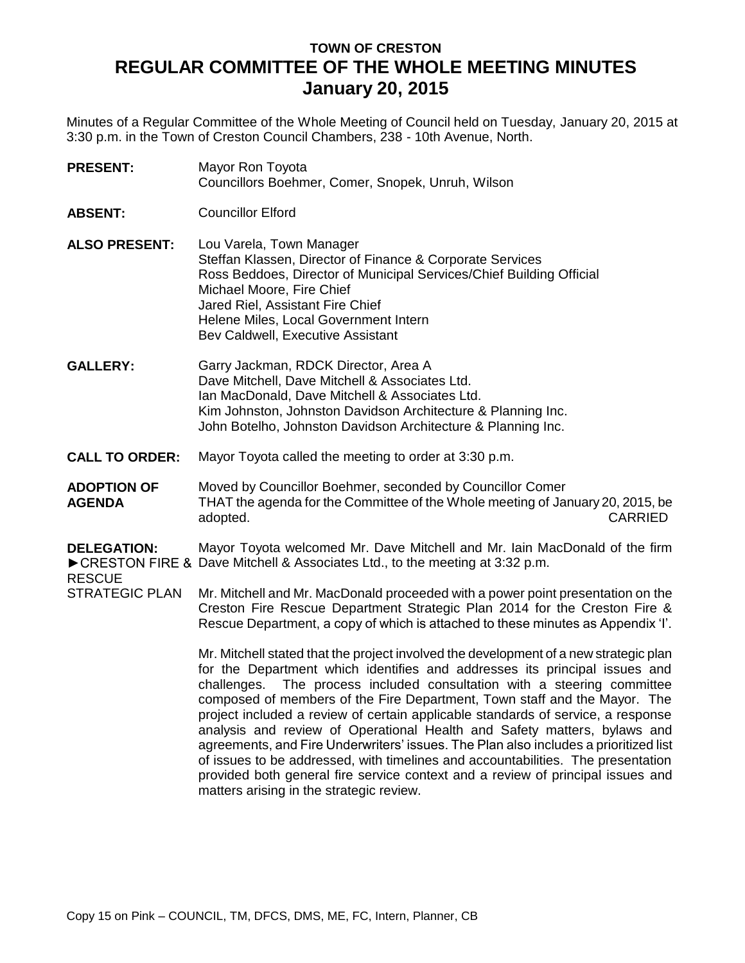## **TOWN OF CRESTON REGULAR COMMITTEE OF THE WHOLE MEETING MINUTES January 20, 2015**

Minutes of a Regular Committee of the Whole Meeting of Council held on Tuesday, January 20, 2015 at 3:30 p.m. in the Town of Creston Council Chambers, 238 - 10th Avenue, North.

- **PRESENT:** Mayor Ron Toyota Councillors Boehmer, Comer, Snopek, Unruh, Wilson
- **ABSENT:** Councillor Elford
- **ALSO PRESENT:** Lou Varela, Town Manager Steffan Klassen, Director of Finance & Corporate Services Ross Beddoes, Director of Municipal Services/Chief Building Official Michael Moore, Fire Chief Jared Riel, Assistant Fire Chief Helene Miles, Local Government Intern Bev Caldwell, Executive Assistant
- **GALLERY:** Garry Jackman, RDCK Director, Area A Dave Mitchell, Dave Mitchell & Associates Ltd. Ian MacDonald, Dave Mitchell & Associates Ltd. Kim Johnston, Johnston Davidson Architecture & Planning Inc. John Botelho, Johnston Davidson Architecture & Planning Inc.
- **CALL TO ORDER:** Mayor Toyota called the meeting to order at 3:30 p.m.
- **ADOPTION OF AGENDA** Moved by Councillor Boehmer, seconded by Councillor Comer THAT the agenda for the Committee of the Whole meeting of January 20, 2015, be adopted. CARRIED

## **DELEGATION:** ►CRESTON FIRE & Dave Mitchell & Associates Ltd., to the meeting at 3:32 p.m. Mayor Toyota welcomed Mr. Dave Mitchell and Mr. Iain MacDonald of the firm

RESCUE

STRATEGIC PLAN Mr. Mitchell and Mr. MacDonald proceeded with a power point presentation on the Creston Fire Rescue Department Strategic Plan 2014 for the Creston Fire & Rescue Department, a copy of which is attached to these minutes as Appendix 'I'.

> Mr. Mitchell stated that the project involved the development of a new strategic plan for the Department which identifies and addresses its principal issues and challenges. The process included consultation with a steering committee composed of members of the Fire Department, Town staff and the Mayor. The project included a review of certain applicable standards of service, a response analysis and review of Operational Health and Safety matters, bylaws and agreements, and Fire Underwriters' issues. The Plan also includes a prioritized list of issues to be addressed, with timelines and accountabilities. The presentation provided both general fire service context and a review of principal issues and matters arising in the strategic review.